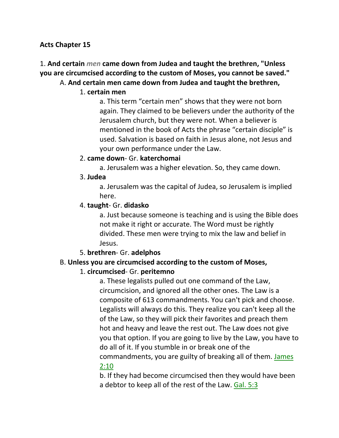#### **Acts Chapter 15**

# 1. **And certain** *men* **came down from Judea and taught the brethren, "Unless you are circumcised according to the custom of Moses, you cannot be saved."**

#### A. **And certain men came down from Judea and taught the brethren,**

#### 1. **certain men**

a. This term "certain men" shows that they were not born again. They claimed to be believers under the authority of the Jerusalem church, but they were not. When a believer is mentioned in the book of Acts the phrase "certain disciple" is used. Salvation is based on faith in Jesus alone, not Jesus and your own performance under the Law.

#### 2. **came down**- Gr. **katerchomai**

a. Jerusalem was a higher elevation. So, they came down.

#### 3. **Judea**

a. Jerusalem was the capital of Judea, so Jerusalem is implied here.

#### 4. **taught**- Gr. **didasko**

a. Just because someone is teaching and is using the Bible does not make it right or accurate. The Word must be rightly divided. These men were trying to mix the law and belief in Jesus.

#### 5. **brethren**- Gr. **adelphos**

### B. **Unless you are circumcised according to the custom of Moses,**

### 1. **circumcised**- Gr. **peritemno**

a. These legalists pulled out one command of the Law, circumcision, and ignored all the other ones. The Law is a composite of 613 commandments. You can't pick and choose. Legalists will always do this. They realize you can't keep all the of the Law, so they will pick their favorites and preach them hot and heavy and leave the rest out. The Law does not give you that option. If you are going to live by the Law, you have to do all of it. If you stumble in or break one of the commandments, you are guilty of breaking all of them. James 2:10

b. If they had become circumcised then they would have been a debtor to keep all of the rest of the Law. Gal. 5:3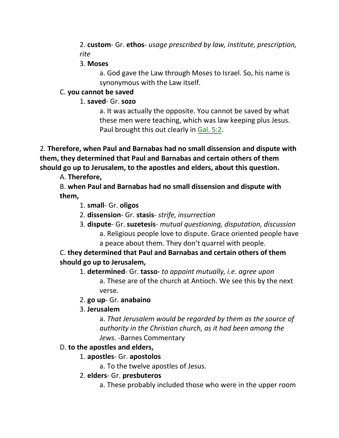2. **custom**- Gr. **ethos**- *usage prescribed by law, institute, prescription, rite*

#### 3. **Moses**

a. God gave the Law through Moses to Israel. So, his name is synonymous with the Law itself.

# C. **you cannot be saved**

1. **saved**- Gr. **sozo**

a. It was actually the opposite. You cannot be saved by what these men were teaching, which was law keeping plus Jesus. Paul brought this out clearly in Gal. 5:2.

2. **Therefore, when Paul and Barnabas had no small dissension and dispute with them, they determined that Paul and Barnabas and certain others of them should go up to Jerusalem, to the apostles and elders, about this question.** 

A. **Therefore,**

B. **when Paul and Barnabas had no small dissension and dispute with them,**

- 1. **small** Gr. **oligos**
- 2. **dissension** Gr. **stasis** *strife, insurrection*
- 3. **dispute** Gr. **suzetesis** *mutual questioning, disputation, discussion* a. Religious people love to dispute. Grace oriented people have a peace about them. They don't quarrel with people.

C. **they determined that Paul and Barnabas and certain others of them should go up to Jerusalem,**

1. **determined**- Gr. **tasso**- *to appoint mutually, i.e. agree upon* a. These are of the church at Antioch. We see this by the next verse.

# 2. **go up**- Gr. **anabaino**

3. **Jerusalem**

a. *That Jerusalem would be regarded by them as the source of authority in the Christian church, as it had been among the Jews.* -Barnes Commentary

# D. **to the apostles and elders,**

# 1. **apostles**- Gr. **apostolos**

a. To the twelve apostles of Jesus.

# 2. **elders**- Gr. **presbuteros**

a. These probably included those who were in the upper room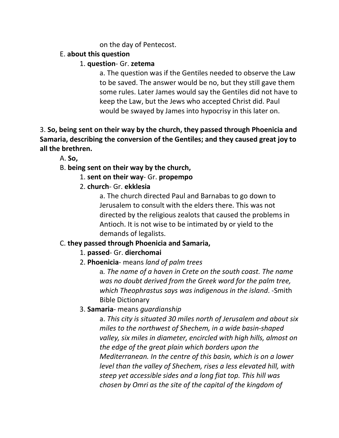#### on the day of Pentecost.

### E. **about this question**

### 1. **question**- Gr. **zetema**

a. The question was if the Gentiles needed to observe the Law to be saved. The answer would be no, but they still gave them some rules. Later James would say the Gentiles did not have to keep the Law, but the Jews who accepted Christ did. Paul would be swayed by James into hypocrisy in this later on.

3. **So, being sent on their way by the church, they passed through Phoenicia and Samaria, describing the conversion of the Gentiles; and they caused great joy to all the brethren.** 

A. **So,**

### B. **being sent on their way by the church,**

1. **sent on their way**- Gr. **propempo**

### 2. **church**- Gr. **ekklesia**

a. The church directed Paul and Barnabas to go down to Jerusalem to consult with the elders there. This was not directed by the religious zealots that caused the problems in Antioch. It is not wise to be intimated by or yield to the demands of legalists.

# C. **they passed through Phoenicia and Samaria,**

# 1. **passed**- Gr. **dierchomai**

2. **Phoenicia**- means *land of palm trees*

a. *The name of a haven in Crete on the south coast. The name was no doubt derived from the Greek word for the palm tree, which Theophrastus says was indigenous in the island*. -Smith Bible Dictionary

### 3. **Samaria**- means *guardianship*

a. *This city is situated 30 miles north of Jerusalem and about six miles to the northwest of Shechem, in a wide basin-shaped valley, six miles in diameter, encircled with high hills, almost on the edge of the great plain which borders upon the Mediterranean. In the centre of this basin, which is on a lower level than the valley of Shechem, rises a less elevated hill, with steep yet accessible sides and a long fiat top. This hill was chosen by Omri as the site of the capital of the kingdom of*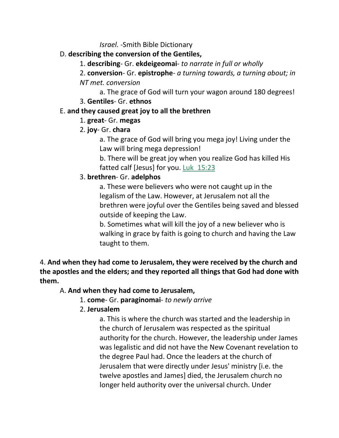*Israel.* -Smith Bible Dictionary

### D. **describing the conversion of the Gentiles,**

- 1. **describing** Gr. **ekdeigeomai** *to narrate in full or wholly*
- 2. **conversion** Gr. **epistrophe** *a turning towards, a turning about; in*

### *NT met. conversion*

a. The grace of God will turn your wagon around 180 degrees! 3. **Gentiles**- Gr. **ethnos**

# E. **and they caused great joy to all the brethren**

# 1. **great**- Gr. **megas**

2. **joy**- Gr. **chara**

a. The grace of God will bring you mega joy! Living under the Law will bring mega depression!

b. There will be great joy when you realize God has killed His fatted calf [Jesus] for you. Luk\_15:23

# 3. **brethren**- Gr. **adelphos**

a. These were believers who were not caught up in the legalism of the Law. However, at Jerusalem not all the brethren were joyful over the Gentiles being saved and blessed outside of keeping the Law.

b. Sometimes what will kill the joy of a new believer who is walking in grace by faith is going to church and having the Law taught to them.

4. **And when they had come to Jerusalem, they were received by the church and the apostles and the elders; and they reported all things that God had done with them.**

# A. **And when they had come to Jerusalem,**

1. **come**- Gr. **paraginomai**- *to newly arrive*

# 2. **Jerusalem**

a. This is where the church was started and the leadership in the church of Jerusalem was respected as the spiritual authority for the church. However, the leadership under James was legalistic and did not have the New Covenant revelation to the degree Paul had. Once the leaders at the church of Jerusalem that were directly under Jesus' ministry [i.e. the twelve apostles and James] died, the Jerusalem church no longer held authority over the universal church. Under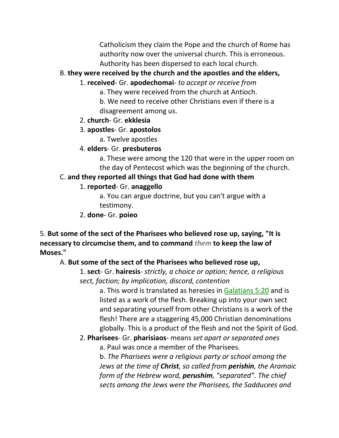Catholicism they claim the Pope and the church of Rome has authority now over the universal church. This is erroneous. Authority has been dispersed to each local church.

### B. **they were received by the church and the apostles and the elders,**

- 1. **received** Gr. **apodechomai** *to accept or receive from*
	- a. They were received from the church at Antioch.
	- b. We need to receive other Christians even if there is a disagreement among us.
- 2. **church** Gr. **ekklesia**
- 3. **apostles** Gr. **apostolos**
	- a. Twelve apostles
- 4. **elders** Gr. **presbuteros**

a. These were among the 120 that were in the upper room on the day of Pentecost which was the beginning of the church.

### C. **and they reported all things that God had done with them**

### 1. **reported**- Gr. **anaggello**

a. You can argue doctrine, but you can't argue with a testimony.

### 2. **done**- Gr. **poieo**

5. **But some of the sect of the Pharisees who believed rose up, saying, "It is necessary to circumcise them, and to command** *them* **to keep the law of Moses."** 

### A. **But some of the sect of the Pharisees who believed rose up,**

1. **sect**- Gr. **hairesis**- *strictly, a choice or option; hence, a religious sect, faction; by implication, discord, contention*

a. This word is translated as heresies in Galatians 5:20 and is listed as a work of the flesh. Breaking up into your own sect and separating yourself from other Christians is a work of the flesh! There are a staggering 45,000 Christian denominations globally. This is a product of the flesh and not the Spirit of God.

# 2. **Pharisees**- Gr. **pharisiaos**- means *set apart or separated ones*

a. Paul was once a member of the Pharisees.

b. *The Pharisees were a religious party or school among the Jews at the time of Christ, so called from perishin, the Aramaic form of the Hebrew word, perushim, "separated". The chief sects among the Jews were the Pharisees, the Sadducees and*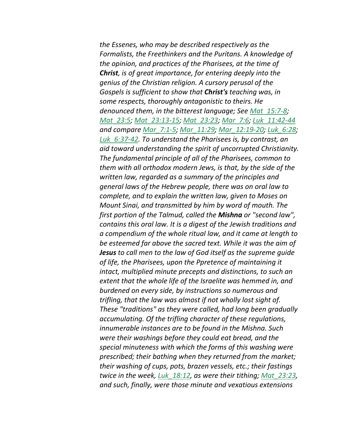*the Essenes, who may be described respectively as the Formalists, the Freethinkers and the Puritans. A knowledge of the opinion, and practices of the Pharisees, at the time of Christ, is of great importance, for entering deeply into the genius of the Christian religion. A cursory perusal of the Gospels is sufficient to show that Christ's teaching was, in some respects, thoroughly antagonistic to theirs. He denounced them, in the bitterest language; See Mat\_15:7-8; Mat\_23:5; Mat\_23:13-15; Mat\_23:23; Mar\_7:6; Luk\_11:42-44 and compare Mar\_7:1-5; Mar\_11:29; Mar\_12:19-20; Luk\_6:28; Luk\_6:37-42. To understand the Pharisees is, by contrast, an aid toward understanding the spirit of uncorrupted Christianity. The fundamental principle of all of the Pharisees, common to them with all orthodox modern Jews, is that, by the side of the written law, regarded as a summary of the principles and general laws of the Hebrew people, there was on oral law to complete, and to explain the written law, given to Moses on Mount Sinai, and transmitted by him by word of mouth. The first portion of the Talmud, called the Mishna or "second law", contains this oral law. It is a digest of the Jewish traditions and a compendium of the whole ritual law, and it came at length to be esteemed far above the sacred text. While it was the aim of Jesus to call men to the law of God itself as the supreme guide of life, the Pharisees, upon the Ppretence of maintaining it intact, multiplied minute precepts and distinctions, to such an extent that the whole life of the Israelite was hemmed in, and burdened on every side, by instructions so numerous and trifling, that the law was almost if not wholly lost sight of. These "traditions" as they were called, had long been gradually accumulating. Of the trifling character of these regulations, innumerable instances are to be found in the Mishna. Such were their washings before they could eat bread, and the special minuteness with which the forms of this washing were prescribed; their bathing when they returned from the market; their washing of cups, pots, brazen vessels, etc.; their fastings twice in the week, Luk\_18:12, as were their tithing; Mat\_23:23, and such, finally, were those minute and vexatious extensions*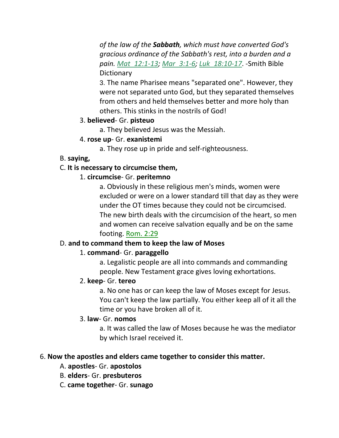*of the law of the Sabbath, which must have converted God's gracious ordinance of the Sabbath's rest, into a burden and a pain. Mat\_12:1-13; Mar\_3:1-6; Luk\_18:10-17*. -Smith Bible **Dictionary** 

3. The name Pharisee means "separated one". However, they were not separated unto God, but they separated themselves from others and held themselves better and more holy than others. This stinks in the nostrils of God!

#### 3. **believed**- Gr. **pisteuo**

a. They believed Jesus was the Messiah.

#### 4. **rose up**- Gr. **exanistemi**

a. They rose up in pride and self-righteousness.

#### B. **saying,**

#### C. **It is necessary to circumcise them,**

#### 1. **circumcise**- Gr. **peritemno**

a. Obviously in these religious men's minds, women were excluded or were on a lower standard till that day as they were under the OT times because they could not be circumcised. The new birth deals with the circumcision of the heart, so men and women can receive salvation equally and be on the same footing. Rom. 2:29

#### D. **and to command them to keep the law of Moses**

#### 1. **command**- Gr. **paraggello**

a. Legalistic people are all into commands and commanding people. New Testament grace gives loving exhortations.

#### 2. **keep**- Gr. **tereo**

a. No one has or can keep the law of Moses except for Jesus. You can't keep the law partially. You either keep all of it all the time or you have broken all of it.

#### 3. **law**- Gr. **nomos**

a. It was called the law of Moses because he was the mediator by which Israel received it.

#### 6. **Now the apostles and elders came together to consider this matter.**

- A. **apostles** Gr. **apostolos**
- B. **elders** Gr. **presbuteros**
- C. **came together** Gr. **sunago**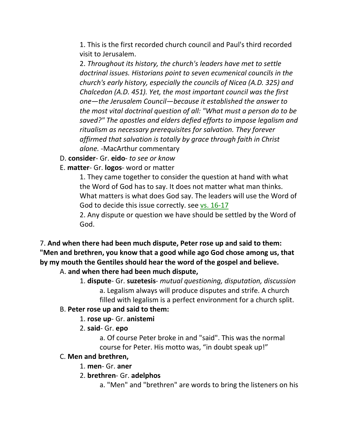1. This is the first recorded church council and Paul's third recorded visit to Jerusalem.

2. *Throughout its history, the church's leaders have met to settle doctrinal issues. Historians point to seven ecumenical councils in the church's early history, especially the councils of Nicea (A.D. 325) and Chalcedon (A.D. 451). Yet, the most important council was the first one—the Jerusalem Council—because it established the answer to the most vital doctrinal question of all: "What must a person do to be saved?" The apostles and elders defied efforts to impose legalism and ritualism as necessary prerequisites for salvation. They forever affirmed that salvation is totally by grace through faith in Christ alone.* -MacArthur commentary

D. **consider**- Gr. **eido**- *to see or know*

E. **matter**- Gr. **logos**- word or matter

1. They came together to consider the question at hand with what the Word of God has to say. It does not matter what man thinks. What matters is what does God say. The leaders will use the Word of God to decide this issue correctly. see vs. 16-17

2. Any dispute or question we have should be settled by the Word of God.

7. **And when there had been much dispute, Peter rose up and said to them: "Men and brethren, you know that a good while ago God chose among us, that by my mouth the Gentiles should hear the word of the gospel and believe.** 

#### A. **and when there had been much dispute,**

1. **dispute**- Gr. **suzetesis**- *mutual questioning, disputation, discussion* a. Legalism always will produce disputes and strife. A church filled with legalism is a perfect environment for a church split.

#### B. **Peter rose up and said to them:**

- 1. **rose up** Gr. **anistemi**
- 2. **said** Gr. **epo**

a. Of course Peter broke in and "said". This was the normal course for Peter. His motto was, "in doubt speak up!"

#### C. **Men and brethren,**

- 1. **men** Gr. **aner**
- 2. **brethren** Gr. **adelphos**

a. "Men" and "brethren" are words to bring the listeners on his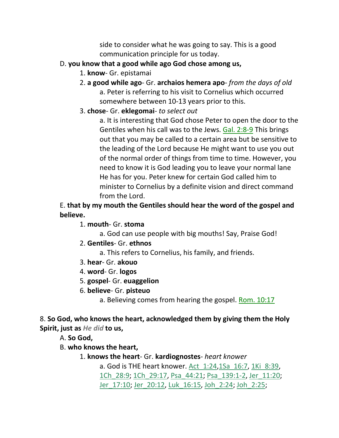side to consider what he was going to say. This is a good communication principle for us today.

- D. **you know that a good while ago God chose among us,**
	- 1. **know** Gr. epistamai
	- 2. **a good while ago** Gr. **archaios hemera apo** *from the days of old* a. Peter is referring to his visit to Cornelius which occurred somewhere between 10-13 years prior to this.
	- 3. **chose** Gr. **eklegomai** *to select out*

a. It is interesting that God chose Peter to open the door to the Gentiles when his call was to the Jews. Gal. 2:8-9 This brings out that you may be called to a certain area but be sensitive to the leading of the Lord because He might want to use you out of the normal order of things from time to time. However, you need to know it is God leading you to leave your normal lane He has for you. Peter knew for certain God called him to minister to Cornelius by a definite vision and direct command from the Lord.

### E. **that by my mouth the Gentiles should hear the word of the gospel and believe.**

- 1. **mouth** Gr. **stoma**
	- a. God can use people with big mouths! Say, Praise God!
- 2. **Gentiles** Gr. **ethnos**
	- a. This refers to Cornelius, his family, and friends.
- 3. **hear** Gr. **akouo**
- 4. **word** Gr. **logos**
- 5. **gospel** Gr. **euaggelion**
- 6. **believe** Gr. **pisteuo**
	- a. Believing comes from hearing the gospel. Rom. 10:17

### 8. **So God, who knows the heart, acknowledged them by giving them the Holy Spirit, just as** *He did* **to us,**

A. **So God,**

- B. **who knows the heart,**
	- 1. **knows the heart** Gr. **kardiognostes** *heart knower* a. God is THE heart knower. Act\_1:24,1Sa\_16:7, 1Ki\_8:39, 1Ch\_28:9; 1Ch\_29:17, Psa\_44:21; Psa\_139:1-2, Jer\_11:20; Jer\_17:10; Jer\_20:12, Luk\_16:15, Joh\_2:24; Joh\_2:25;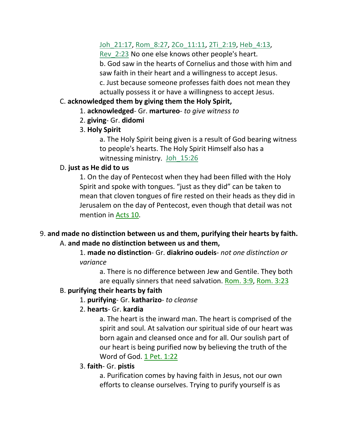# Joh 21:17, Rom 8:27, 2Co 11:11, 2Ti 2:19, Heb 4:13,

Rev\_2:23 No one else knows other people's heart. b. God saw in the hearts of Cornelius and those with him and saw faith in their heart and a willingness to accept Jesus. c. Just because someone professes faith does not mean they actually possess it or have a willingness to accept Jesus.

### C. **acknowledged them by giving them the Holy Spirit,**

- 1. **acknowledged** Gr. **martureo** *to give witness to*
- 2. **giving** Gr. **didomi**
- 3. **Holy Spirit**

a. The Holy Spirit being given is a result of God bearing witness to people's hearts. The Holy Spirit Himself also has a witnessing ministry. Joh 15:26

### D. **just as He did to us**

1. On the day of Pentecost when they had been filled with the Holy Spirit and spoke with tongues. "just as they did" can be taken to mean that cloven tongues of fire rested on their heads as they did in Jerusalem on the day of Pentecost, even though that detail was not mention in Acts 10.

### 9. **and made no distinction between us and them, purifying their hearts by faith.** A. **and made no distinction between us and them,**

1. **made no distinction**- Gr. **diakrino oudeis**- *not one distinction or variance*

a. There is no difference between Jew and Gentile. They both are equally sinners that need salvation. Rom. 3:9, Rom. 3:23

# B. **purifying their hearts by faith**

# 1. **purifying**- Gr. **katharizo**- *to cleanse*

# 2. **hearts**- Gr. **kardia**

a. The heart is the inward man. The heart is comprised of the spirit and soul. At salvation our spiritual side of our heart was born again and cleansed once and for all. Our soulish part of our heart is being purified now by believing the truth of the Word of God. 1 Pet. 1:22

### 3. **faith**- Gr. **pistis**

a. Purification comes by having faith in Jesus, not our own efforts to cleanse ourselves. Trying to purify yourself is as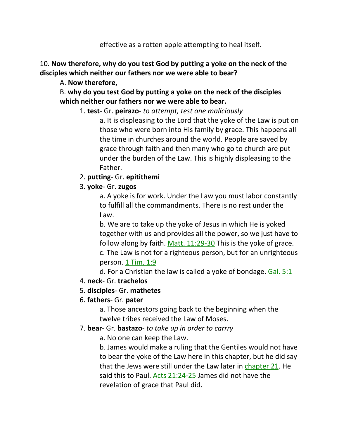effective as a rotten apple attempting to heal itself.

## 10. **Now therefore, why do you test God by putting a yoke on the neck of the disciples which neither our fathers nor we were able to bear?**

### A. **Now therefore,**

B. **why do you test God by putting a yoke on the neck of the disciples which neither our fathers nor we were able to bear.** 

### 1. **test**- Gr. **peirazo**- *to attempt, test one maliciously*

a. It is displeasing to the Lord that the yoke of the Law is put on those who were born into His family by grace. This happens all the time in churches around the world. People are saved by grace through faith and then many who go to church are put under the burden of the Law. This is highly displeasing to the Father.

### 2. **putting**- Gr. **epitithemi**

### 3. **yoke**- Gr. **zugos**

a. A yoke is for work. Under the Law you must labor constantly to fulfill all the commandments. There is no rest under the Law.

b. We are to take up the yoke of Jesus in which He is yoked together with us and provides all the power, so we just have to follow along by faith. Matt. 11:29-30 This is the yoke of grace. c. The Law is not for a righteous person, but for an unrighteous person. 1 Tim. 1:9

d. For a Christian the law is called a yoke of bondage. Gal. 5:1

#### 4. **neck**- Gr. **trachelos**

#### 5. **disciples**- Gr. **mathetes**

### 6. **fathers**- Gr. **pater**

a. Those ancestors going back to the beginning when the twelve tribes received the Law of Moses.

#### 7. **bear**- Gr. **bastazo**- *to take up in order to carrry*

a. No one can keep the Law.

b. James would make a ruling that the Gentiles would not have to bear the yoke of the Law here in this chapter, but he did say that the Jews were still under the Law later in chapter 21. He said this to Paul. Acts 21:24-25 James did not have the revelation of grace that Paul did.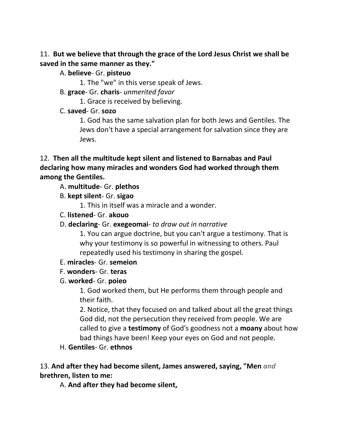### 11. **But we believe that through the grace of the Lord Jesus Christ we shall be saved in the same manner as they."**

- A. **believe** Gr. **pisteuo**
	- 1. The "we" in this verse speak of Jews.
- B. **grace** Gr. **charis** *unmerited favor*
	- 1. Grace is received by believing.
- C. **saved** Gr. **sozo**

1. God has the same salvation plan for both Jews and Gentiles. The Jews don't have a special arrangement for salvation since they are Jews.

### 12. **Then all the multitude kept silent and listened to Barnabas and Paul declaring how many miracles and wonders God had worked through them among the Gentiles.**

- A. **multitude** Gr. **plethos**
- B. **kept silent** Gr. **sigao**

1. This in itself was a miracle and a wonder.

- C. **listened** Gr. **akouo**
- D. **declaring** Gr. **exegeomai** *to draw out in narrative*

1. You can argue doctrine, but you can't argue a testimony. That is why your testimony is so powerful in witnessing to others. Paul repeatedly used his testimony in sharing the gospel.

- E. **miracles** Gr. **semeion**
- F. **wonders** Gr. **teras**
- G. **worked** Gr. **poieo**

1. God worked them, but He performs them through people and their faith.

2. Notice, that they focused on and talked about all the great things God did, not the persecution they received from people. We are called to give a **testimony** of God's goodness not a **moany** about how bad things have been! Keep your eyes on God and not people.

H. **Gentiles**- Gr. **ethnos**

13. **And after they had become silent, James answered, saying, "Men** *and* **brethren, listen to me:** 

A. **And after they had become silent,**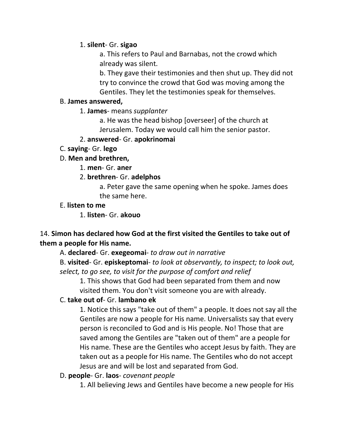#### 1. **silent**- Gr. **sigao**

a. This refers to Paul and Barnabas, not the crowd which already was silent.

b. They gave their testimonies and then shut up. They did not try to convince the crowd that God was moving among the Gentiles. They let the testimonies speak for themselves.

#### B. **James answered,**

1. **James**- means *supplanter* 

a. He was the head bishop [overseer] of the church at Jerusalem. Today we would call him the senior pastor.

### 2. **answered**- Gr. **apokrinomai**

C. **saying**- Gr. **lego**

### D. **Men and brethren,**

1. **men**- Gr. **aner**

### 2. **brethren**- Gr. **adelphos**

a. Peter gave the same opening when he spoke. James does the same here.

### E. **listen to me**

1. **listen**- Gr. **akouo**

### 14. **Simon has declared how God at the first visited the Gentiles to take out of them a people for His name.**

A. **declared**- Gr. **exegeomai**- *to draw out in narrative*

B. **visited**- Gr. **episkeptomai**- *to look at observantly, to inspect; to look out, select, to go see, to visit for the purpose of comfort and relief*

1. This shows that God had been separated from them and now visited them. You don't visit someone you are with already.

### C. **take out of**- Gr. **lambano ek**

1. Notice this says "take out of them" a people. It does not say all the Gentiles are now a people for His name. Universalists say that every person is reconciled to God and is His people. No! Those that are saved among the Gentiles are "taken out of them" are a people for His name. These are the Gentiles who accept Jesus by faith. They are taken out as a people for His name. The Gentiles who do not accept Jesus are and will be lost and separated from God.

#### D. **people**- Gr. **laos**- *covenant people*

1. All believing Jews and Gentiles have become a new people for His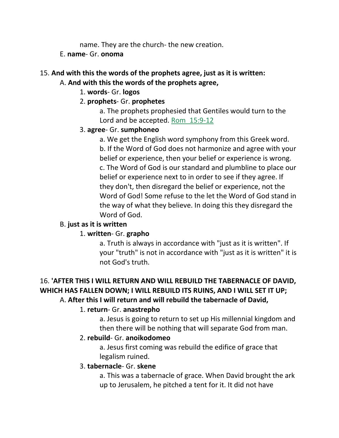name. They are the church- the new creation.

#### E. **name**- Gr. **onoma**

# 15. **And with this the words of the prophets agree, just as it is written:**

### A. **And with this the words of the prophets agree,**

#### 1. **words**- Gr. **logos**

### 2. **prophets**- Gr. **prophetes**

a. The prophets prophesied that Gentiles would turn to the Lord and be accepted. Rom\_15:9-12

### 3. **agree**- Gr. **sumphoneo**

a. We get the English word symphony from this Greek word. b. If the Word of God does not harmonize and agree with your belief or experience, then your belief or experience is wrong. c. The Word of God is our standard and plumbline to place our belief or experience next to in order to see if they agree. If they don't, then disregard the belief or experience, not the Word of God! Some refuse to the let the Word of God stand in the way of what they believe. In doing this they disregard the Word of God.

### B. **just as it is written**

### 1. **written**- Gr. **grapho**

a. Truth is always in accordance with "just as it is written". If your "truth" is not in accordance with "just as it is written" it is not God's truth.

### 16. **'AFTER THIS I WILL RETURN AND WILL REBUILD THE TABERNACLE OF DAVID, WHICH HAS FALLEN DOWN; I WILL REBUILD ITS RUINS, AND I WILL SET IT UP;** A. **After this I will return and will rebuild the tabernacle of David,**

# 1. **return**- Gr. **anastrepho**

a. Jesus is going to return to set up His millennial kingdom and then there will be nothing that will separate God from man.

### 2. **rebuild**- Gr. **anoikodomeo**

a. Jesus first coming was rebuild the edifice of grace that legalism ruined.

### 3. **tabernacle**- Gr. **skene**

a. This was a tabernacle of grace. When David brought the ark up to Jerusalem, he pitched a tent for it. It did not have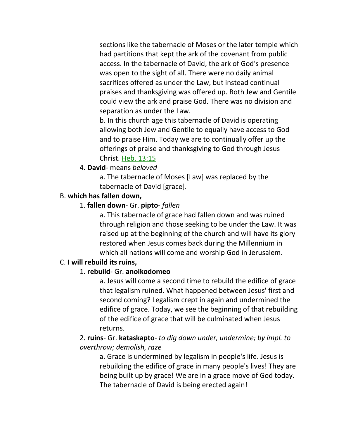sections like the tabernacle of Moses or the later temple which had partitions that kept the ark of the covenant from public access. In the tabernacle of David, the ark of God's presence was open to the sight of all. There were no daily animal sacrifices offered as under the Law, but instead continual praises and thanksgiving was offered up. Both Jew and Gentile could view the ark and praise God. There was no division and separation as under the Law.

b. In this church age this tabernacle of David is operating allowing both Jew and Gentile to equally have access to God and to praise Him. Today we are to continually offer up the offerings of praise and thanksgiving to God through Jesus Christ. Heb. 13:15

### 4. **David**- means *beloved*

a. The tabernacle of Moses [Law] was replaced by the tabernacle of David [grace].

### B. **which has fallen down,**

### 1. **fallen down**- Gr. **pipto**- *fallen*

a. This tabernacle of grace had fallen down and was ruined through religion and those seeking to be under the Law. It was raised up at the beginning of the church and will have its glory restored when Jesus comes back during the Millennium in which all nations will come and worship God in Jerusalem.

### C. **I will rebuild its ruins,**

#### 1. **rebuild**- Gr. **anoikodomeo**

a. Jesus will come a second time to rebuild the edifice of grace that legalism ruined. What happened between Jesus' first and second coming? Legalism crept in again and undermined the edifice of grace. Today, we see the beginning of that rebuilding of the edifice of grace that will be culminated when Jesus returns.

### 2. **ruins**- Gr. **kataskapto**- *to dig down under, undermine; by impl. to overthrow; demolish, raze*

a. Grace is undermined by legalism in people's life. Jesus is rebuilding the edifice of grace in many people's lives! They are being built up by grace! We are in a grace move of God today. The tabernacle of David is being erected again!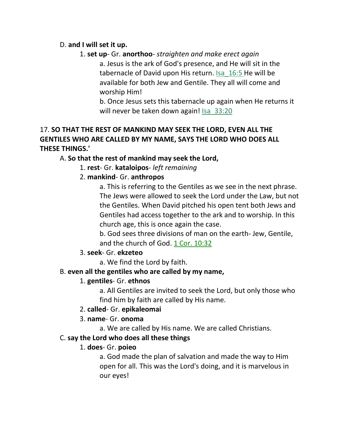#### D. **and I will set it up.**

1. **set up**- Gr. **anorthoo**- *straighten and make erect again*

a. Jesus is the ark of God's presence, and He will sit in the tabernacle of David upon His return. Isa\_16:5 He will be available for both Jew and Gentile. They all will come and worship Him!

b. Once Jesus sets this tabernacle up again when He returns it will never be taken down again! Isa 33:20

### 17. **SO THAT THE REST OF MANKIND MAY SEEK THE LORD, EVEN ALL THE GENTILES WHO ARE CALLED BY MY NAME, SAYS THE LORD WHO DOES ALL THESE THINGS.'**

### A. **So that the rest of mankind may seek the Lord,**

1. **rest**- Gr. **kataloipos**- *left remaining*

### 2. **mankind**- Gr. **anthropos**

a. This is referring to the Gentiles as we see in the next phrase. The Jews were allowed to seek the Lord under the Law, but not the Gentiles. When David pitched his open tent both Jews and Gentiles had access together to the ark and to worship. In this church age, this is once again the case.

b. God sees three divisions of man on the earth- Jew, Gentile, and the church of God. 1 Cor. 10:32

### 3. **seek**- Gr. **ekzeteo**

a. We find the Lord by faith.

### B. **even all the gentiles who are called by my name,**

### 1. **gentiles**- Gr. **ethnos**

a. All Gentiles are invited to seek the Lord, but only those who find him by faith are called by His name.

#### 2. **called**- Gr. **epikaleomai**

### 3. **name**- Gr. **onoma**

a. We are called by His name. We are called Christians.

### C. **say the Lord who does all these things**

### 1. **does**- Gr. **poieo**

a. God made the plan of salvation and made the way to Him open for all. This was the Lord's doing, and it is marvelous in our eyes!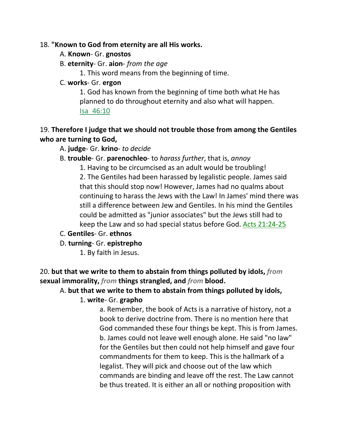#### 18. **"Known to God from eternity are all His works.**

- A. **Known** Gr. **gnostos**
- B. **eternity** Gr. **aion** *from the age*

1. This word means from the beginning of time.

### C. **works**- Gr. **ergon**

1. God has known from the beginning of time both what He has planned to do throughout eternity and also what will happen. Isa\_46:10

## 19. **Therefore I judge that we should not trouble those from among the Gentiles who are turning to God,**

- A. **judge** Gr. **krino** *to decide*
- B. **trouble** Gr. **parenochleo** to *harass further*, that is, *annoy*

1. Having to be circumcised as an adult would be troubling!

2. The Gentiles had been harassed by legalistic people. James said that this should stop now! However, James had no qualms about continuing to harass the Jews with the Law! In James' mind there was still a difference between Jew and Gentiles. In his mind the Gentiles could be admitted as "junior associates" but the Jews still had to keep the Law and so had special status before God. Acts 21:24-25

- C. **Gentiles** Gr. **ethnos**
- D. **turning** Gr. **epistrepho**
	- 1. By faith in Jesus.

20. **but that we write to them to abstain from things polluted by idols,** *from* **sexual immorality,** *from* **things strangled, and** *from* **blood.** 

# A. **but that we write to them to abstain from things polluted by idols,**

### 1. **write**- Gr. **grapho**

a. Remember, the book of Acts is a narrative of history, not a book to derive doctrine from. There is no mention here that God commanded these four things be kept. This is from James. b. James could not leave well enough alone. He said "no law" for the Gentiles but then could not help himself and gave four commandments for them to keep. This is the hallmark of a legalist. They will pick and choose out of the law which commands are binding and leave off the rest. The Law cannot be thus treated. It is either an all or nothing proposition with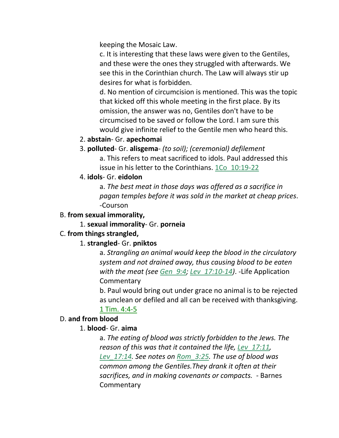keeping the Mosaic Law.

c. It is interesting that these laws were given to the Gentiles, and these were the ones they struggled with afterwards. We see this in the Corinthian church. The Law will always stir up desires for what is forbidden.

d. No mention of circumcision is mentioned. This was the topic that kicked off this whole meeting in the first place. By its omission, the answer was no, Gentiles don't have to be circumcised to be saved or follow the Lord. I am sure this would give infinite relief to the Gentile men who heard this.

- 2. **abstain** Gr. **apechomai**
- 3. **polluted** Gr. **alisgema** *(to soil); (ceremonial) defilement* a. This refers to meat sacrificed to idols. Paul addressed this issue in his letter to the Corinthians. 1Co\_10:19-22
- 4. **idols** Gr. **eidolon**

a. *The best meat in those days was offered as a sacrifice in pagan temples before it was sold in the market at cheap prices*. -Courson

### B. **from sexual immorality,**

1. **sexual immorality**- Gr. **porneia**

### C. **from things strangled,**

### 1. **strangled**- Gr. **pniktos**

a. *Strangling an animal would keep the blood in the circulatory system and not drained away, thus causing blood to be eaten with the meat (see Gen\_9:4; Lev\_17:10-14)*. -Life Application **Commentary** 

b. Paul would bring out under grace no animal is to be rejected as unclean or defiled and all can be received with thanksgiving.

### 1 Tim. 4:4-5

# D. **and from blood**

# 1. **blood**- Gr. **aima**

a. *The eating of blood was strictly forbidden to the Jews. The reason of this was that it contained the life, Lev\_17:11, Lev\_17:14. See notes on Rom\_3:25. The use of blood was common among the Gentiles.They drank it often at their sacrifices, and in making covenants or compacts.* - Barnes **Commentary**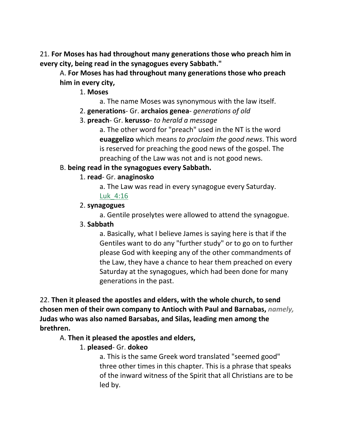21. **For Moses has had throughout many generations those who preach him in every city, being read in the synagogues every Sabbath."** 

A. **For Moses has had throughout many generations those who preach him in every city,**

1. **Moses**

- a. The name Moses was synonymous with the law itself.
- 2. **generations** Gr. **archaios genea** *generations of old*
- 3. **preach** Gr. **kerusso** *to herald a message*

a. The other word for "preach" used in the NT is the word **euaggelizo** which means *to proclaim the good news*. This word is reserved for preaching the good news of the gospel. The preaching of the Law was not and is not good news.

#### B. **being read in the synagogues every Sabbath.**

#### 1. **read**- Gr. **anaginosko**

a. The Law was read in every synagogue every Saturday. Luk\_4:16

#### 2. **synagogues**

a. Gentile proselytes were allowed to attend the synagogue.

#### 3. **Sabbath**

a. Basically, what I believe James is saying here is that if the Gentiles want to do any "further study" or to go on to further please God with keeping any of the other commandments of the Law, they have a chance to hear them preached on every Saturday at the synagogues, which had been done for many generations in the past.

22. **Then it pleased the apostles and elders, with the whole church, to send chosen men of their own company to Antioch with Paul and Barnabas,** *namely,* **Judas who was also named Barsabas, and Silas, leading men among the brethren.** 

#### A. **Then it pleased the apostles and elders,**

#### 1. **pleased**- Gr. **dokeo**

a. This is the same Greek word translated "seemed good" three other times in this chapter. This is a phrase that speaks of the inward witness of the Spirit that all Christians are to be led by.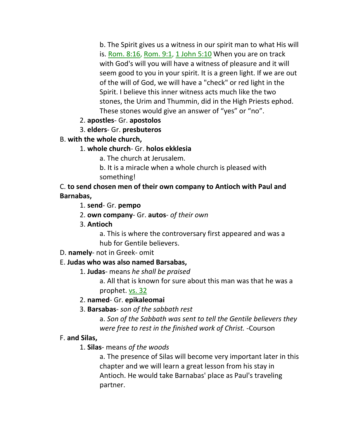b. The Spirit gives us a witness in our spirit man to what His will is. Rom. 8:16, Rom. 9:1, 1 John 5:10 When you are on track with God's will you will have a witness of pleasure and it will seem good to you in your spirit. It is a green light. If we are out of the will of God, we will have a "check" or red light in the Spirit. I believe this inner witness acts much like the two stones, the Urim and Thummin, did in the High Priests ephod. These stones would give an answer of "yes" or "no".

### 2. **apostles**- Gr. **apostolos**

### 3. **elders**- Gr. **presbuteros**

### B. **with the whole church,**

### 1. **whole church**- Gr. **holos ekklesia**

a. The church at Jerusalem.

b. It is a miracle when a whole church is pleased with something!

C. **to send chosen men of their own company to Antioch with Paul and Barnabas,**

1. **send**- Gr. **pempo**

2. **own company**- Gr. **autos**- *of their own*

3. **Antioch**

a. This is where the controversary first appeared and was a hub for Gentile believers.

### D. **namely**- not in Greek- omit

### E. **Judas who was also named Barsabas,**

1. **Judas**- means *he shall be praised*

a. All that is known for sure about this man was that he was a prophet. vs. 32

### 2. **named**- Gr. **epikaleomai**

3. **Barsabas**- *son of the sabbath rest*

a. *Son of the Sabbath was sent to tell the Gentile believers they were free to rest in the finished work of Christ.* -Courson

### F. **and Silas,**

1. **Silas**- means *of the woods*

a. The presence of Silas will become very important later in this chapter and we will learn a great lesson from his stay in Antioch. He would take Barnabas' place as Paul's traveling partner.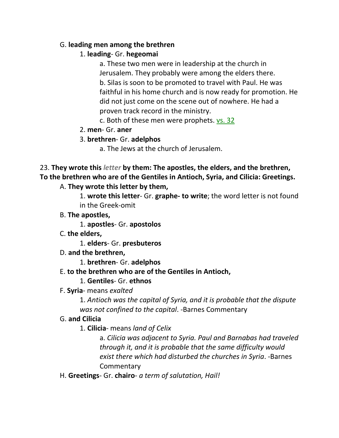### G. **leading men among the brethren**

### 1. **leading**- Gr. **hegeomai**

a. These two men were in leadership at the church in Jerusalem. They probably were among the elders there. b. Silas is soon to be promoted to travel with Paul. He was faithful in his home church and is now ready for promotion. He did not just come on the scene out of nowhere. He had a proven track record in the ministry.

c. Both of these men were prophets. vs. 32

### 2. **men**- Gr. **aner**

# 3. **brethren**- Gr. **adelphos**

a. The Jews at the church of Jerusalem.

# 23. **They wrote this** *letter* **by them: The apostles, the elders, and the brethren, To the brethren who are of the Gentiles in Antioch, Syria, and Cilicia: Greetings.**

### A. **They wrote this letter by them,**

1. **wrote this letter**- Gr. **graphe- to write**; the word letter is not found in the Greek-omit

- B. **The apostles,**
	- 1. **apostles** Gr. **apostolos**
- C. **the elders,**

1. **elders**- Gr. **presbuteros**

D. **and the brethren,**

1. **brethren**- Gr. **adelphos**

# E. **to the brethren who are of the Gentiles in Antioch,**

### 1. **Gentiles**- Gr. **ethnos**

F. **Syria**- means *exalted*

1. *Antioch was the capital of Syria, and it is probable that the dispute was not confined to the capital*. -Barnes Commentary

# G. **and Cilicia**

1. **Cilicia**- means *land of Celix*

a. *Cilicia was adjacent to Syria. Paul and Barnabas had traveled through it, and it is probable that the same difficulty would exist there which had disturbed the churches in Syria*. -Barnes **Commentary** 

H. **Greetings**- Gr. **chairo**- *a term of salutation, Hail!*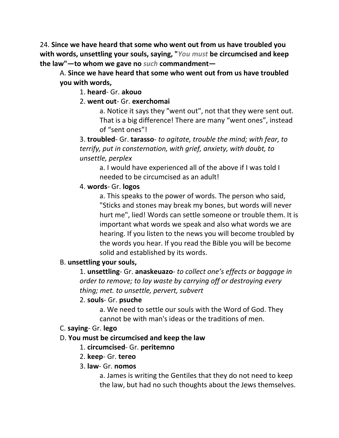24. **Since we have heard that some who went out from us have troubled you with words, unsettling your souls, saying, "***You must* **be circumcised and keep the law"—to whom we gave no** *such* **commandment—**

A. **Since we have heard that some who went out from us have troubled you with words,**

1. **heard**- Gr. **akouo**

2. **went out**- Gr. **exerchomai**

a. Notice it says they "went out", not that they were sent out. That is a big difference! There are many "went ones", instead of "sent ones"!

3. **troubled**- Gr. **tarasso**- *to agitate, trouble the mind; with fear, to terrify, put in consternation, with grief, anxiety, with doubt, to unsettle, perplex*

a. I would have experienced all of the above if I was told I needed to be circumcised as an adult!

### 4. **words**- Gr. **logos**

a. This speaks to the power of words. The person who said, "Sticks and stones may break my bones, but words will never hurt me", lied! Words can settle someone or trouble them. It is important what words we speak and also what words we are hearing. If you listen to the news you will become troubled by the words you hear. If you read the Bible you will be become solid and established by its words.

#### B. **unsettling your souls,**

1. **unsettling**- Gr. **anaskeuazo**- *to collect one's effects or baggage in order to remove; to lay waste by carrying off or destroying every thing; met. to unsettle, pervert, subvert*

#### 2. **souls**- Gr. **psuche**

a. We need to settle our souls with the Word of God. They cannot be with man's ideas or the traditions of men.

#### C. **saying**- Gr. **lego**

#### D. **You must be circumcised and keep the law**

#### 1. **circumcised**- Gr. **peritemno**

2. **keep**- Gr. **tereo**

#### 3. **law**- Gr. **nomos**

a. James is writing the Gentiles that they do not need to keep the law, but had no such thoughts about the Jews themselves.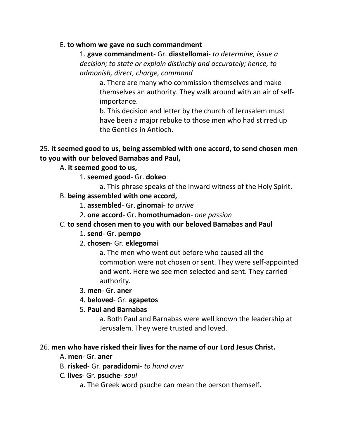#### E. **to whom we gave no such commandment**

1. **gave commandment**- Gr. **diastellomai**- *to determine, issue a decision; to state or explain distinctly and accurately; hence, to admonish, direct, charge, command*

a. There are many who commission themselves and make themselves an authority. They walk around with an air of selfimportance.

b. This decision and letter by the church of Jerusalem must have been a major rebuke to those men who had stirred up the Gentiles in Antioch.

### 25. **it seemed good to us, being assembled with one accord, to send chosen men to you with our beloved Barnabas and Paul,**

### A. **it seemed good to us,**

- 1. **seemed good** Gr. **dokeo**
	- a. This phrase speaks of the inward witness of the Holy Spirit.
- B. **being assembled with one accord,**
	- 1. **assembled** Gr. **ginomai** *to arrive*
	- 2. **one accord** Gr. **homothumadon** *one passion*

#### C. **to send chosen men to you with our beloved Barnabas and Paul**

- 1. **send** Gr. **pempo**
- 2. **chosen** Gr. **eklegomai**

a. The men who went out before who caused all the commotion were not chosen or sent. They were self-appointed and went. Here we see men selected and sent. They carried authority.

- 3. **men** Gr. **aner**
- 4. **beloved** Gr. **agapetos**
- 5. **Paul and Barnabas**

a. Both Paul and Barnabas were well known the leadership at Jerusalem. They were trusted and loved.

#### 26. **men who have risked their lives for the name of our Lord Jesus Christ.**

- A. **men** Gr. **aner**
- B. **risked** Gr. **paradidomi** *to hand over*
- C. **lives** Gr. **psuche** *soul*
	- a. The Greek word psuche can mean the person themself.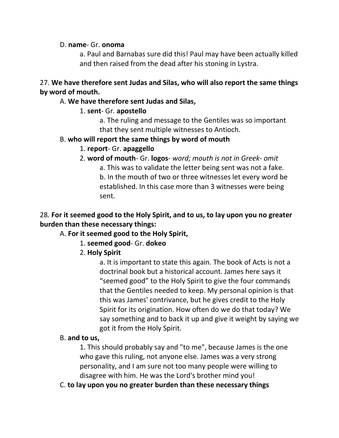#### D. **name**- Gr. **onoma**

a. Paul and Barnabas sure did this! Paul may have been actually killed and then raised from the dead after his stoning in Lystra.

### 27. **We have therefore sent Judas and Silas, who will also report the same things by word of mouth.**

#### A. **We have therefore sent Judas and Silas,**

### 1. **sent**- Gr. **apostello**

a. The ruling and message to the Gentiles was so important that they sent multiple witnesses to Antioch.

#### B. **who will report the same things by word of mouth**

### 1. **report**- Gr. **apaggello**

2. **word of mouth**- Gr. **logos**- *word; mouth is not in Greek- omit*

a. This was to validate the letter being sent was not a fake. b. In the mouth of two or three witnesses let every word be established. In this case more than 3 witnesses were being sent.

### 28. **For it seemed good to the Holy Spirit, and to us, to lay upon you no greater burden than these necessary things:**

### A. **For it seemed good to the Holy Spirit,**

### 1. **seemed good**- Gr. **dokeo**

2. **Holy Spirit**

a. It is important to state this again. The book of Acts is not a doctrinal book but a historical account. James here says it "seemed good" to the Holy Spirit to give the four commands that the Gentiles needed to keep. My personal opinion is that this was James' contrivance, but he gives credit to the Holy Spirit for its origination. How often do we do that today? We say something and to back it up and give it weight by saying we got it from the Holy Spirit.

#### B. **and to us,**

1. This should probably say and "to me", because James is the one who gave this ruling, not anyone else. James was a very strong personality, and I am sure not too many people were willing to disagree with him. He was the Lord's brother mind you!

C. **to lay upon you no greater burden than these necessary things**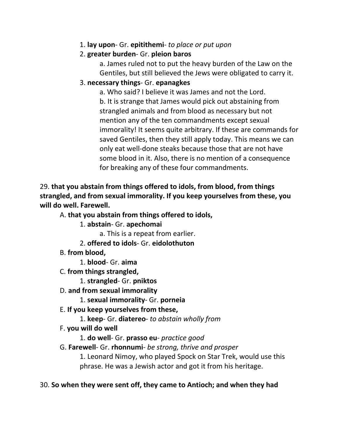1. **lay upon**- Gr. **epitithemi**- *to place or put upon*

# 2. **greater burden**- Gr. **pleion baros**

a. James ruled not to put the heavy burden of the Law on the Gentiles, but still believed the Jews were obligated to carry it.

## 3. **necessary things**- Gr. **epanagkes**

a. Who said? I believe it was James and not the Lord. b. It is strange that James would pick out abstaining from strangled animals and from blood as necessary but not mention any of the ten commandments except sexual immorality! It seems quite arbitrary. If these are commands for saved Gentiles, then they still apply today. This means we can only eat well-done steaks because those that are not have some blood in it. Also, there is no mention of a consequence for breaking any of these four commandments.

29. **that you abstain from things offered to idols, from blood, from things strangled, and from sexual immorality. If you keep yourselves from these, you will do well. Farewell.** 

# A. **that you abstain from things offered to idols,**

1. **abstain**- Gr. **apechomai**

a. This is a repeat from earlier.

- 2. **offered to idols** Gr. **eidolothuton**
- B. **from blood,**

1. **blood**- Gr. **aima**

C. **from things strangled,**

1. **strangled**- Gr. **pniktos**

- D. **and from sexual immorality**
	- 1. **sexual immorality** Gr. **porneia**
- E. **If you keep yourselves from these,** 
	- 1. **keep** Gr. **diatereo** *to abstain wholly from*
- F. **you will do well**

1. **do well**- Gr. **prasso eu**- *practice good*

# G. **Farewell**- Gr. **rhonnumi**- *be strong, thrive and prosper*

1. Leonard Nimoy, who played Spock on Star Trek, would use this phrase. He was a Jewish actor and got it from his heritage.

# 30. **So when they were sent off, they came to Antioch; and when they had**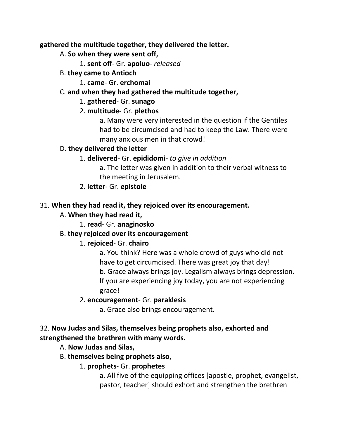**gathered the multitude together, they delivered the letter.** 

- A. **So when they were sent off,**
	- 1. **sent off** Gr. **apoluo** *released*
- B. **they came to Antioch**
	- 1. **came** Gr. **erchomai**

# C. **and when they had gathered the multitude together,**

# 1. **gathered**- Gr. **sunago**

# 2. **multitude**- Gr. **plethos**

a. Many were very interested in the question if the Gentiles had to be circumcised and had to keep the Law. There were many anxious men in that crowd!

# D. **they delivered the letter**

# 1. **delivered**- Gr. **epididomi**- *to give in addition*

a. The letter was given in addition to their verbal witness to the meeting in Jerusalem.

2. **letter**- Gr. **epistole**

# 31. **When they had read it, they rejoiced over its encouragement.**

# A. **When they had read it,**

1. **read**- Gr. **anaginosko**

# B. **they rejoiced over its encouragement**

# 1. **rejoiced**- Gr. **chairo**

a. You think? Here was a whole crowd of guys who did not have to get circumcised. There was great joy that day! b. Grace always brings joy. Legalism always brings depression. If you are experiencing joy today, you are not experiencing grace!

# 2. **encouragement**- Gr. **paraklesis**

a. Grace also brings encouragement.

# 32. **Now Judas and Silas, themselves being prophets also, exhorted and strengthened the brethren with many words.**

- A. **Now Judas and Silas,**
- B. **themselves being prophets also,**

# 1. **prophets**- Gr. **prophetes**

a. All five of the equipping offices [apostle, prophet, evangelist, pastor, teacher] should exhort and strengthen the brethren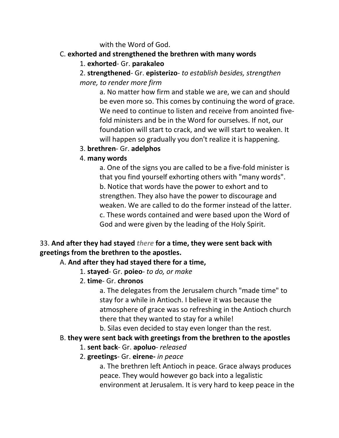#### with the Word of God.

### C. **exhorted and strengthened the brethren with many words**

### 1. **exhorted**- Gr. **parakaleo**

2. **strengthened**- Gr. **episterizo**- *to establish besides, strengthen more, to render more firm*

a. No matter how firm and stable we are, we can and should be even more so. This comes by continuing the word of grace. We need to continue to listen and receive from anointed fivefold ministers and be in the Word for ourselves. If not, our foundation will start to crack, and we will start to weaken. It will happen so gradually you don't realize it is happening.

### 3. **brethren**- Gr. **adelphos**

### 4. **many words**

a. One of the signs you are called to be a five-fold minister is that you find yourself exhorting others with "many words". b. Notice that words have the power to exhort and to strengthen. They also have the power to discourage and weaken. We are called to do the former instead of the latter. c. These words contained and were based upon the Word of God and were given by the leading of the Holy Spirit.

# 33. **And after they had stayed** *there* **for a time, they were sent back with greetings from the brethren to the apostles.**

### A. **And after they had stayed there for a time,**

- 1. **stayed** Gr. **poieo** *to do, or make*
- 2. **time** Gr. **chronos**

a. The delegates from the Jerusalem church "made time" to stay for a while in Antioch. I believe it was because the atmosphere of grace was so refreshing in the Antioch church there that they wanted to stay for a while!

b. Silas even decided to stay even longer than the rest.

# B. **they were sent back with greetings from the brethren to the apostles**

### 1. **sent back**- Gr. **apoluo**- *released*

# 2. **greetings**- Gr. **eirene-** *in peace*

a. The brethren left Antioch in peace. Grace always produces peace. They would however go back into a legalistic environment at Jerusalem. It is very hard to keep peace in the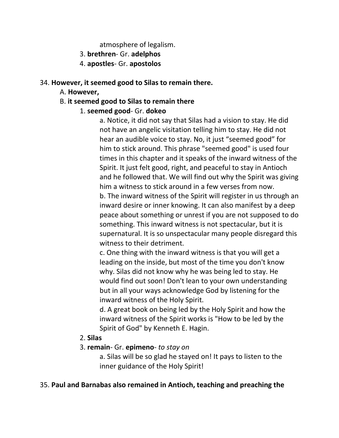atmosphere of legalism.

- 3. **brethren** Gr. **adelphos**
- 4. **apostles** Gr. **apostolos**

### 34. **However, it seemed good to Silas to remain there.**

- A. **However,**
- B. **it seemed good to Silas to remain there**
	- 1. **seemed good** Gr. **dokeo**

a. Notice, it did not say that Silas had a vision to stay. He did not have an angelic visitation telling him to stay. He did not hear an audible voice to stay. No, it just "seemed good" for him to stick around. This phrase "seemed good" is used four times in this chapter and it speaks of the inward witness of the Spirit. It just felt good, right, and peaceful to stay in Antioch and he followed that. We will find out why the Spirit was giving him a witness to stick around in a few verses from now. b. The inward witness of the Spirit will register in us through an inward desire or inner knowing. It can also manifest by a deep peace about something or unrest if you are not supposed to do something. This inward witness is not spectacular, but it is supernatural. It is so unspectacular many people disregard this witness to their detriment.

c. One thing with the inward witness is that you will get a leading on the inside, but most of the time you don't know why. Silas did not know why he was being led to stay. He would find out soon! Don't lean to your own understanding but in all your ways acknowledge God by listening for the inward witness of the Holy Spirit.

d. A great book on being led by the Holy Spirit and how the inward witness of the Spirit works is "How to be led by the Spirit of God" by Kenneth E. Hagin.

### 2. **Silas**

### 3. **remain**- Gr. **epimeno**- *to stay on*

a. Silas will be so glad he stayed on! It pays to listen to the inner guidance of the Holy Spirit!

#### 35. **Paul and Barnabas also remained in Antioch, teaching and preaching the**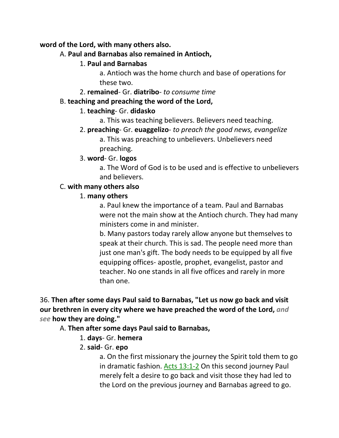#### **word of the Lord, with many others also.**

#### A. **Paul and Barnabas also remained in Antioch,**

### 1. **Paul and Barnabas**

a. Antioch was the home church and base of operations for these two.

2. **remained**- Gr. **diatribo**- *to consume time*

### B. **teaching and preaching the word of the Lord,**

### 1. **teaching**- Gr. **didasko**

- a. This was teaching believers. Believers need teaching.
- 2. **preaching** Gr. **euaggelizo** *to preach the good news, evangelize* a. This was preaching to unbelievers. Unbelievers need preaching.

### 3. **word**- Gr. **logos**

a. The Word of God is to be used and is effective to unbelievers and believers.

### C. **with many others also**

### 1. **many others**

a. Paul knew the importance of a team. Paul and Barnabas were not the main show at the Antioch church. They had many ministers come in and minister.

b. Many pastors today rarely allow anyone but themselves to speak at their church. This is sad. The people need more than just one man's gift. The body needs to be equipped by all five equipping offices- apostle, prophet, evangelist, pastor and teacher. No one stands in all five offices and rarely in more than one.

36. **Then after some days Paul said to Barnabas, "Let us now go back and visit our brethren in every city where we have preached the word of the Lord,** *and see* **how they are doing."** 

### A. **Then after some days Paul said to Barnabas,**

- 1. **days** Gr. **hemera**
- 2. **said** Gr. **epo**

a. On the first missionary the journey the Spirit told them to go in dramatic fashion. Acts 13:1-2 On this second journey Paul merely felt a desire to go back and visit those they had led to the Lord on the previous journey and Barnabas agreed to go.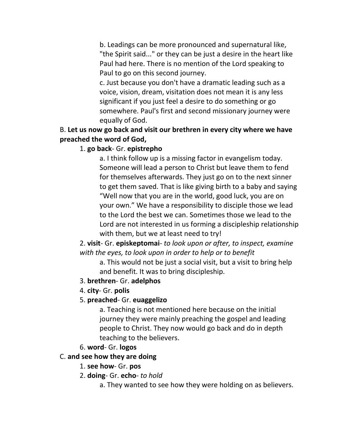b. Leadings can be more pronounced and supernatural like, "the Spirit said..." or they can be just a desire in the heart like Paul had here. There is no mention of the Lord speaking to Paul to go on this second journey.

c. Just because you don't have a dramatic leading such as a voice, vision, dream, visitation does not mean it is any less significant if you just feel a desire to do something or go somewhere. Paul's first and second missionary journey were equally of God.

### B. **Let us now go back and visit our brethren in every city where we have preached the word of God,**

### 1. **go back**- Gr. **epistrepho**

a. I think follow up is a missing factor in evangelism today. Someone will lead a person to Christ but leave them to fend for themselves afterwards. They just go on to the next sinner to get them saved. That is like giving birth to a baby and saying "Well now that you are in the world, good luck, you are on your own." We have a responsibility to disciple those we lead to the Lord the best we can. Sometimes those we lead to the Lord are not interested in us forming a discipleship relationship with them, but we at least need to try!

2. **visit**- Gr. **episkeptomai**- *to look upon or after, to inspect, examine with the eyes, to look upon in order to help or to benefit*

a. This would not be just a social visit, but a visit to bring help and benefit. It was to bring discipleship.

#### 3. **brethren**- Gr. **adelphos**

4. **city**- Gr. **polis**

#### 5. **preached**- Gr. **euaggelizo**

a. Teaching is not mentioned here because on the initial journey they were mainly preaching the gospel and leading people to Christ. They now would go back and do in depth teaching to the believers.

#### 6. **word**- Gr. **logos**

#### C. **and see how they are doing**

- 1. **see how** Gr. **pos**
- 2. **doing** Gr. **echo** *to hold*
	- a. They wanted to see how they were holding on as believers.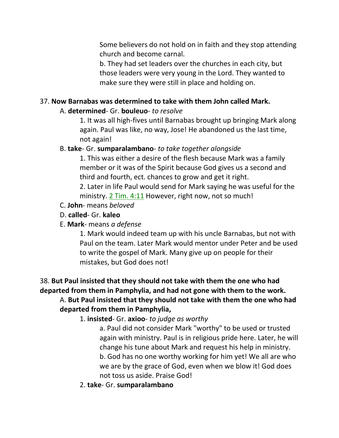Some believers do not hold on in faith and they stop attending church and become carnal.

b. They had set leaders over the churches in each city, but those leaders were very young in the Lord. They wanted to make sure they were still in place and holding on.

### 37. **Now Barnabas was determined to take with them John called Mark.**

### A. **determined**- Gr. **bouleuo**- *to resolve*

1. It was all high-fives until Barnabas brought up bringing Mark along again. Paul was like, no way, Jose! He abandoned us the last time, not again!

### B. **take**- Gr. **sumparalambano**- *to take together alongside*

1. This was either a desire of the flesh because Mark was a family member or it was of the Spirit because God gives us a second and third and fourth, ect. chances to grow and get it right.

2. Later in life Paul would send for Mark saying he was useful for the ministry. 2 Tim. 4:11 However, right now, not so much!

- C. **John** means *beloved*
- D. **called** Gr. **kaleo**
- E. **Mark** means *a defense*

1. Mark would indeed team up with his uncle Barnabas, but not with Paul on the team. Later Mark would mentor under Peter and be used to write the gospel of Mark. Many give up on people for their mistakes, but God does not!

# 38. **But Paul insisted that they should not take with them the one who had departed from them in Pamphylia, and had not gone with them to the work.**

#### A. **But Paul insisted that they should not take with them the one who had departed from them in Pamphylia,**

1. **insisted**- Gr. **axioo**- *to judge as worthy*

a. Paul did not consider Mark "worthy" to be used or trusted again with ministry. Paul is in religious pride here. Later, he will change his tune about Mark and request his help in ministry. b. God has no one worthy working for him yet! We all are who we are by the grace of God, even when we blow it! God does not toss us aside. Praise God!

2. **take**- Gr. **sumparalambano**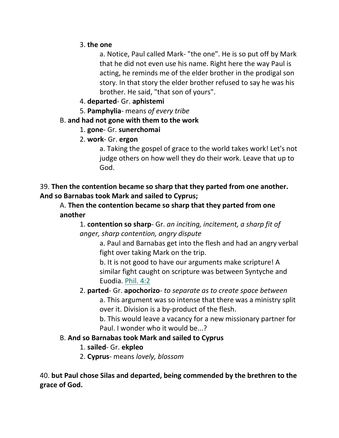### 3. **the one**

a. Notice, Paul called Mark- "the one". He is so put off by Mark that he did not even use his name. Right here the way Paul is acting, he reminds me of the elder brother in the prodigal son story. In that story the elder brother refused to say he was his brother. He said, "that son of yours".

### 4. **departed**- Gr. **aphistemi**

5. **Pamphylia**- means *of every tribe*

# B. **and had not gone with them to the work**

### 1. **gone**- Gr. **sunerchomai**

# 2. **work**- Gr. **ergon**

a. Taking the gospel of grace to the world takes work! Let's not judge others on how well they do their work. Leave that up to God.

39. **Then the contention became so sharp that they parted from one another. And so Barnabas took Mark and sailed to Cyprus;** 

A. **Then the contention became so sharp that they parted from one another**

1. **contention so sharp**- Gr. *an inciting, incitement, a sharp fit of anger, sharp contention, angry dispute*

a. Paul and Barnabas get into the flesh and had an angry verbal fight over taking Mark on the trip.

b. It is not good to have our arguments make scripture! A similar fight caught on scripture was between Syntyche and Euodia. Phil. 4:2

### 2. **parted**- Gr. **apochorizo**- *to separate as to create space between* a. This argument was so intense that there was a ministry split over it. Division is a by-product of the flesh.

b. This would leave a vacancy for a new missionary partner for Paul. I wonder who it would be...?

# B. **And so Barnabas took Mark and sailed to Cyprus**

# 1. **sailed**- Gr. **ekpleo**

2. **Cyprus**- means *lovely, blossom*

40. **but Paul chose Silas and departed, being commended by the brethren to the grace of God.**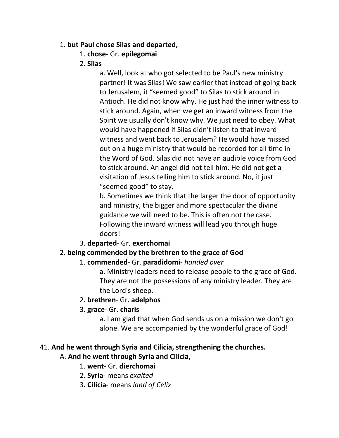### 1. **but Paul chose Silas and departed,**

### 1. **chose**- Gr. **epilegomai**

### 2. **Silas**

a. Well, look at who got selected to be Paul's new ministry partner! It was Silas! We saw earlier that instead of going back to Jerusalem, it "seemed good" to Silas to stick around in Antioch. He did not know why. He just had the inner witness to stick around. Again, when we get an inward witness from the Spirit we usually don't know why. We just need to obey. What would have happened if Silas didn't listen to that inward witness and went back to Jerusalem? He would have missed out on a huge ministry that would be recorded for all time in the Word of God. Silas did not have an audible voice from God to stick around. An angel did not tell him. He did not get a visitation of Jesus telling him to stick around. No, it just "seemed good" to stay.

b. Sometimes we think that the larger the door of opportunity and ministry, the bigger and more spectacular the divine guidance we will need to be. This is often not the case. Following the inward witness will lead you through huge doors!

### 3. **departed**- Gr. **exerchomai**

### 2. **being commended by the brethren to the grace of God**

### 1. **commended**- Gr. **paradidomi**- *handed over*

a. Ministry leaders need to release people to the grace of God. They are not the possessions of any ministry leader. They are the Lord's sheep.

#### 2. **brethren**- Gr. **adelphos**

#### 3. **grace**- Gr. **charis**

a. I am glad that when God sends us on a mission we don't go alone. We are accompanied by the wonderful grace of God!

#### 41. **And he went through Syria and Cilicia, strengthening the churches.**

### A. **And he went through Syria and Cilicia,**

### 1. **went**- Gr. **dierchomai**

- 2. **Syria** means *exalted*
- 3. **Cilicia** means *land of Celix*